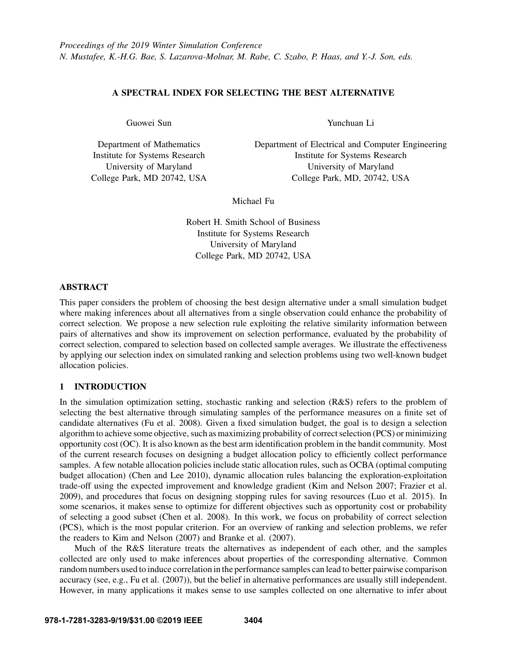## A SPECTRAL INDEX FOR SELECTING THE BEST ALTERNATIVE

Guowei Sun

Department of Mathematics Institute for Systems Research University of Maryland College Park, MD 20742, USA Yunchuan Li

Department of Electrical and Computer Engineering Institute for Systems Research University of Maryland College Park, MD, 20742, USA

Michael Fu

Robert H. Smith School of Business Institute for Systems Research University of Maryland College Park, MD 20742, USA

## ABSTRACT

This paper considers the problem of choosing the best design alternative under a small simulation budget where making inferences about all alternatives from a single observation could enhance the probability of correct selection. We propose a new selection rule exploiting the relative similarity information between pairs of alternatives and show its improvement on selection performance, evaluated by the probability of correct selection, compared to selection based on collected sample averages. We illustrate the effectiveness by applying our selection index on simulated ranking and selection problems using two well-known budget allocation policies.

# 1 INTRODUCTION

In the simulation optimization setting, stochastic ranking and selection (R&S) refers to the problem of selecting the best alternative through simulating samples of the performance measures on a finite set of candidate alternatives [\(Fu et al. 2008\)](#page-11-0). Given a fixed simulation budget, the goal is to design a selection algorithm to achieve some objective, such as maximizing probability of correct selection (PCS) or minimizing opportunity cost (OC). It is also known as the best arm identification problem in the bandit community. Most of the current research focuses on designing a budget allocation policy to efficiently collect performance samples. A few notable allocation policies include static allocation rules, such as OCBA (optimal computing budget allocation) [\(Chen and Lee 2010\)](#page-10-0), dynamic allocation rules balancing the exploration-exploitation trade-off using the expected improvement and knowledge gradient [\(Kim and Nelson 2007;](#page-11-1) [Frazier et al.](#page-11-2) [2009\)](#page-11-2), and procedures that focus on designing stopping rules for saving resources [\(Luo et al. 2015\)](#page-11-3). In some scenarios, it makes sense to optimize for different objectives such as opportunity cost or probability of selecting a good subset [\(Chen et al. 2008\)](#page-10-1). In this work, we focus on probability of correct selection (PCS), which is the most popular criterion. For an overview of ranking and selection problems, we refer the readers to [Kim and Nelson \(2007\)](#page-11-1) and [Branke et al. \(2007\).](#page-10-2)

Much of the R&S literature treats the alternatives as independent of each other, and the samples collected are only used to make inferences about properties of the corresponding alternative. Common random numbers used to induce correlation in the performance samples can lead to better pairwise comparison accuracy (see, e.g., [Fu et al. \(2007\)\)](#page-11-4), but the belief in alternative performances are usually still independent. However, in many applications it makes sense to use samples collected on one alternative to infer about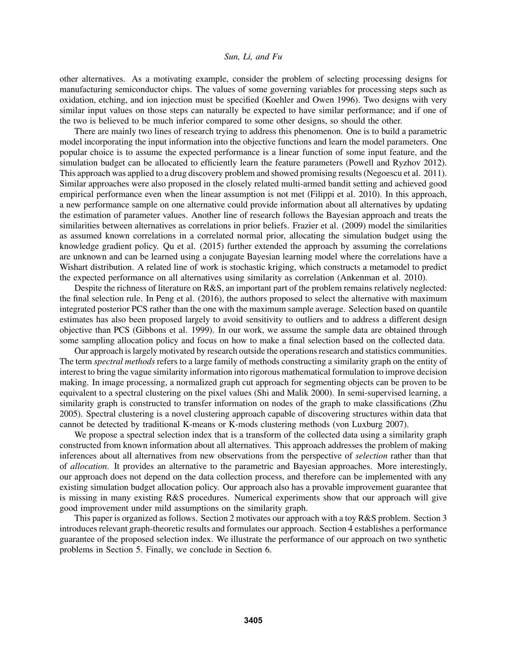other alternatives. As a motivating example, consider the problem of selecting processing designs for manufacturing semiconductor chips. The values of some governing variables for processing steps such as oxidation, etching, and ion injection must be specified [\(Koehler and Owen 1996\)](#page-11-5). Two designs with very similar input values on those steps can naturally be expected to have similar performance; and if one of the two is believed to be much inferior compared to some other designs, so should the other.

There are mainly two lines of research trying to address this phenomenon. One is to build a parametric model incorporating the input information into the objective functions and learn the model parameters. One popular choice is to assume the expected performance is a linear function of some input feature, and the simulation budget can be allocated to efficiently learn the feature parameters [\(Powell and Ryzhov 2012\)](#page-11-6). This approach was applied to a drug discovery problem and showed promising results [\(Negoescu et al. 2011\)](#page-11-7). Similar approaches were also proposed in the closely related multi-armed bandit setting and achieved good empirical performance even when the linear assumption is not met [\(Filippi et al. 2010\)](#page-10-3). In this approach, a new performance sample on one alternative could provide information about all alternatives by updating the estimation of parameter values. Another line of research follows the Bayesian approach and treats the similarities between alternatives as correlations in prior beliefs. [Frazier et al. \(2009\)](#page-11-2) model the similarities as assumed known correlations in a correlated normal prior, allocating the simulation budget using the knowledge gradient policy. [Qu et al. \(2015\)](#page-11-8) further extended the approach by assuming the correlations are unknown and can be learned using a conjugate Bayesian learning model where the correlations have a Wishart distribution. A related line of work is stochastic kriging, which constructs a metamodel to predict the expected performance on all alternatives using similarity as correlation [\(Ankenman et al. 2010\)](#page-10-4).

Despite the richness of literature on R&S, an important part of the problem remains relatively neglected: the final selection rule. In [Peng et al. \(2016\),](#page-11-9) the authors proposed to select the alternative with maximum integrated posterior PCS rather than the one with the maximum sample average. Selection based on quantile estimates has also been proposed largely to avoid sensitivity to outliers and to address a different design objective than PCS [\(Gibbons et al. 1999\)](#page-11-10). In our work, we assume the sample data are obtained through some sampling allocation policy and focus on how to make a final selection based on the collected data.

Our approach is largely motivated by research outside the operations research and statistics communities. The term *spectral methods* refers to a large family of methods constructing a similarity graph on the entity of interest to bring the vague similarity information into rigorous mathematical formulation to improve decision making. In image processing, a normalized graph cut approach for segmenting objects can be proven to be equivalent to a spectral clustering on the pixel values [\(Shi and Malik 2000\)](#page-11-11). In semi-supervised learning, a similarity graph is constructed to transfer information on nodes of the graph to make classifications [\(Zhu](#page-11-12) [2005\)](#page-11-12). Spectral clustering is a novel clustering approach capable of discovering structures within data that cannot be detected by traditional K-means or K-mods clustering methods [\(von Luxburg 2007\)](#page-11-13).

We propose a spectral selection index that is a transform of the collected data using a similarity graph constructed from known information about all alternatives. This approach addresses the problem of making inferences about all alternatives from new observations from the perspective of *selection* rather than that of *allocation*. It provides an alternative to the parametric and Bayesian approaches. More interestingly, our approach does not depend on the data collection process, and therefore can be implemented with any existing simulation budget allocation policy. Our approach also has a provable improvement guarantee that is missing in many existing R&S procedures. Numerical experiments show that our approach will give good improvement under mild assumptions on the similarity graph.

This paper is organized as follows. Section [2](#page-2-0) motivates our approach with a toy R&S problem. Section [3](#page-2-1) introduces relevant graph-theoretic results and formulates our approach. Section [4](#page-3-0) establishes a performance guarantee of the proposed selection index. We illustrate the performance of our approach on two synthetic problems in Section [5.](#page-8-0) Finally, we conclude in Section [6.](#page-10-5)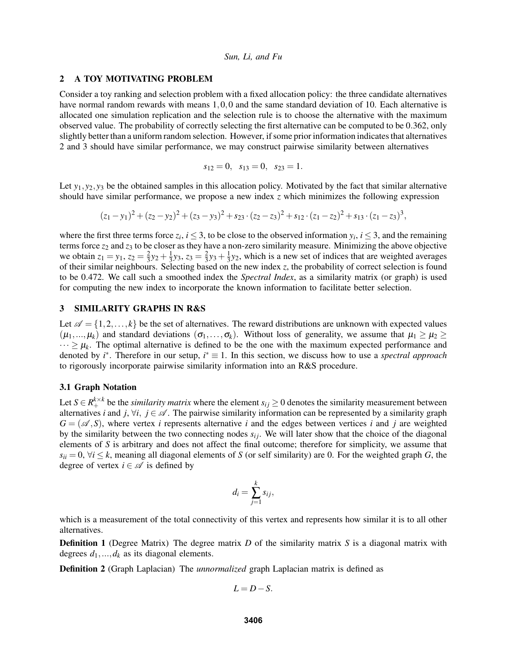#### <span id="page-2-0"></span>2 A TOY MOTIVATING PROBLEM

Consider a toy ranking and selection problem with a fixed allocation policy: the three candidate alternatives have normal random rewards with means 1,0,0 and the same standard deviation of 10. Each alternative is allocated one simulation replication and the selection rule is to choose the alternative with the maximum observed value. The probability of correctly selecting the first alternative can be computed to be 0.362, only slightly better than a uniform random selection. However, if some prior information indicates that alternatives 2 and 3 should have similar performance, we may construct pairwise similarity between alternatives

$$
s_{12}=0, s_{13}=0, s_{23}=1.
$$

Let  $y_1, y_2, y_3$  be the obtained samples in this allocation policy. Motivated by the fact that similar alternative should have similar performance, we propose a new index *z* which minimizes the following expression

$$
(z_1-y_1)^2+(z_2-y_2)^2+(z_3-y_3)^2+s_{23}\cdot(z_2-z_3)^2+s_{12}\cdot(z_1-z_2)^2+s_{13}\cdot(z_1-z_3)^3,
$$

where the first three terms force  $z_i$ ,  $i \leq 3$ , to be close to the observed information  $y_i$ ,  $i \leq 3$ , and the remaining terms force  $z_2$  and  $z_3$  to be closer as they have a non-zero similarity measure. Minimizing the above objective we obtain  $z_1 = y_1$ ,  $z_2 = \frac{2}{3}$  $rac{2}{3}y_2 + \frac{1}{3}$  $\frac{1}{3}y_3, z_3 = \frac{2}{3}$  $\frac{2}{3}y_3+\frac{1}{3}$  $\frac{1}{3}y_2$ , which is a new set of indices that are weighted averages of their similar neighbours. Selecting based on the new index *z*, the probability of correct selection is found to be 0.472. We call such a smoothed index the *Spectral Index*, as a similarity matrix (or graph) is used for computing the new index to incorporate the known information to facilitate better selection.

### <span id="page-2-1"></span>3 SIMILARITY GRAPHS IN R&S

Let  $\mathscr{A} = \{1, 2, \ldots, k\}$  be the set of alternatives. The reward distributions are unknown with expected values  $(\mu_1,...,\mu_k)$  and standard deviations  $(\sigma_1,...,\sigma_k)$ . Without loss of generality, we assume that  $\mu_1 \geq \mu_2 \geq$  $\cdots \geq \mu_k$ . The optimal alternative is defined to be the one with the maximum expected performance and denoted by *i*<sup>\*</sup>. Therefore in our setup,  $i^* \equiv 1$ . In this section, we discuss how to use a *spectral approach* to rigorously incorporate pairwise similarity information into an R&S procedure.

#### 3.1 Graph Notation

Let  $S \in R_+^{k \times k}$  be the *similarity matrix* where the element  $s_{ij} \ge 0$  denotes the similarity measurement between alternatives *i* and *j*,  $\forall i$ ,  $j \in \mathcal{A}$ . The pairwise similarity information can be represented by a similarity graph  $G = (\mathcal{A}, S)$ , where vertex *i* represents alternative *i* and the edges between vertices *i* and *j* are weighted by the similarity between the two connecting nodes  $s_{ij}$ . We will later show that the choice of the diagonal elements of *S* is arbitrary and does not affect the final outcome; therefore for simplicity, we assume that  $s_{ii} = 0$ ,  $\forall i \leq k$ , meaning all diagonal elements of *S* (or self similarity) are 0. For the weighted graph *G*, the degree of vertex  $i \in \mathcal{A}$  is defined by

$$
d_i = \sum_{j=1}^k s_{ij},
$$

which is a measurement of the total connectivity of this vertex and represents how similar it is to all other alternatives.

**Definition 1** (Degree Matrix) The degree matrix *D* of the similarity matrix *S* is a diagonal matrix with degrees  $d_1$ ,..., $d_k$  as its diagonal elements.

Definition 2 (Graph Laplacian) The *unnormalized* graph Laplacian matrix is defined as

$$
L = D - S.
$$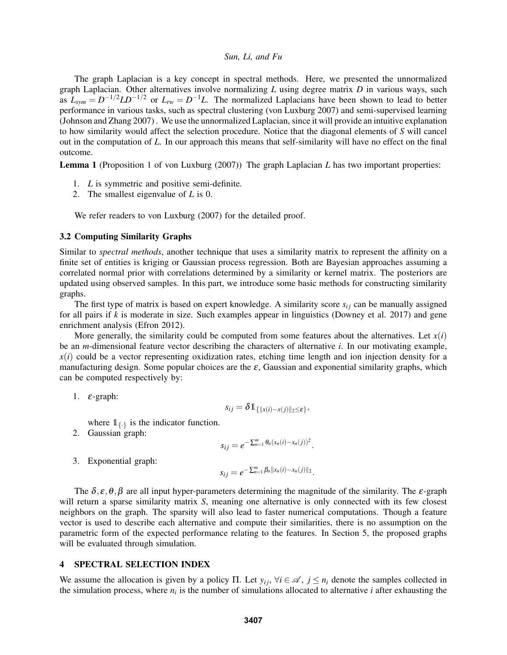The graph Laplacian is a key concept in spectral methods. Here, we presented the unnormalized graph Laplacian. Other alternatives involve normalizing *L* using degree matrix *D* in various ways, such as  $L_{sym} = D^{-1/2}LD^{-1/2}$  or  $L_{rw} = D^{-1}L$ . The normalized Laplacians have been shown to lead to better performance in various tasks, such as spectral clustering [\(von Luxburg 2007\)](#page-11-13) and semi-supervised learning [\(Johnson and Zhang 2007\)](#page-11-14) . We use the unnormalized Laplacian, since it will provide an intuitive explanation to how similarity would affect the selection procedure. Notice that the diagonal elements of *S* will cancel out in the computation of *L*. In our approach this means that self-similarity will have no effect on the final outcome.

Lemma 1 (Proposition 1 of [von Luxburg \(2007\)\)](#page-11-13) The graph Laplacian *L* has two important properties:

- 1. *L* is symmetric and positive semi-definite.
- <span id="page-3-1"></span>2. The smallest eigenvalue of *L* is 0.

We refer readers to [von Luxburg \(2007\)](#page-11-13) for the detailed proof.

# 3.2 Computing Similarity Graphs

Similar to *spectral methods*, another technique that uses a similarity matrix to represent the affinity on a finite set of entities is kriging or Gaussian process regression. Both are Bayesian approaches assuming a correlated normal prior with correlations determined by a similarity or kernel matrix. The posteriors are updated using observed samples. In this part, we introduce some basic methods for constructing similarity graphs.

The first type of matrix is based on expert knowledge. A similarity score  $s_i$  can be manually assigned for all pairs if *k* is moderate in size. Such examples appear in linguistics [\(Downey et al. 2017\)](#page-10-6) and gene enrichment analysis [\(Efron 2012\)](#page-10-7).

More generally, the similarity could be computed from some features about the alternatives. Let  $x(i)$ be an *m*-dimensional feature vector describing the characters of alternative *i*. In our motivating example,  $x(i)$  could be a vector representing oxidization rates, etching time length and ion injection density for a manufacturing design. Some popular choices are the  $\varepsilon$ , Gaussian and exponential similarity graphs, which can be computed respectively by:

1. ε-graph:

$$
s_{ij} = \delta \mathbb{1}_{\{\|x(i)-x(j)\|_2 \leq \varepsilon\}},
$$

where  $1_{\{.\}}$  is the indicator function.

2. Gaussian graph:

$$
s_{ij}=e^{-\sum_{n=1}^m\theta_n(x_n(i)-x_n(j))^2}.
$$

3. Exponential graph:

$$
s_{ij} = e^{-\sum_{n=1}^m \beta_n ||x_n(i) - x_n(j)||_2}.
$$

The  $\delta, \varepsilon, \theta, \beta$  are all input hyper-parameters determining the magnitude of the similarity. The  $\varepsilon$ -graph will return a sparse similarity matrix *S*, meaning one alternative is only connected with its few closest neighbors on the graph. The sparsity will also lead to faster numerical computations. Though a feature vector is used to describe each alternative and compute their similarities, there is no assumption on the parametric form of the expected performance relating to the features. In Section [5,](#page-8-0) the proposed graphs will be evaluated through simulation.

## <span id="page-3-0"></span>4 SPECTRAL SELECTION INDEX

We assume the allocation is given by a policy Π. Let  $y_i$ ,  $\forall i \in \mathcal{A}, j \leq n_i$  denote the samples collected in the simulation process, where  $n_i$  is the number of simulations allocated to alternative  $i$  after exhausting the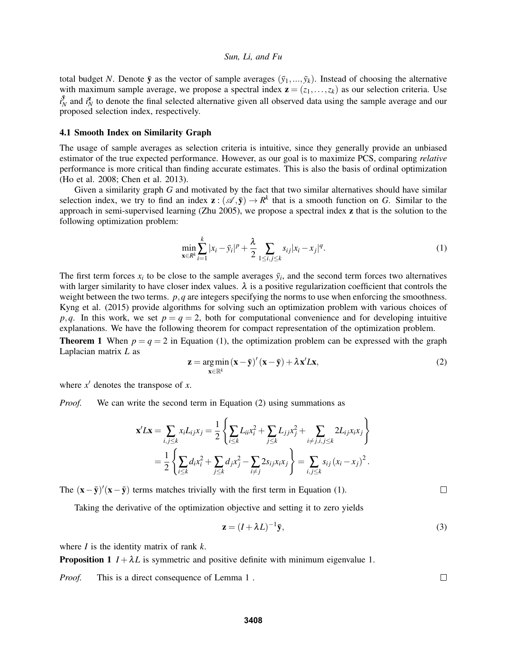total budget *N*. Denote  $\bar{y}$  as the vector of sample averages  $(\bar{y}_1, ..., \bar{y}_k)$ . Instead of choosing the alternative with maximum sample average, we propose a spectral index  $z = (z_1, \ldots, z_k)$  as our selection criteria. Use  $i_{\Lambda}^{\overline{y}}$  $\frac{\bar{y}}{N}$  and  $i_N^2$  to denote the final selected alternative given all observed data using the sample average and our proposed selection index, respectively.

#### 4.1 Smooth Index on Similarity Graph

The usage of sample averages as selection criteria is intuitive, since they generally provide an unbiased estimator of the true expected performance. However, as our goal is to maximize PCS, comparing *relative* performance is more critical than finding accurate estimates. This is also the basis of ordinal optimization [\(Ho et al. 2008;](#page-11-15) [Chen et al. 2013\)](#page-10-8).

Given a similarity graph *G* and motivated by the fact that two similar alternatives should have similar selection index, we try to find an index  $z : (\mathscr{A}, \bar{y}) \to R^k$  that is a smooth function on *G*. Similar to the approach in semi-supervised learning [\(Zhu 2005\)](#page-11-12), we propose a spectral index z that is the solution to the following optimization problem:

<span id="page-4-0"></span>
$$
\min_{\mathbf{x}\in R^k} \sum_{i=1}^k |x_i - \bar{y}_i|^p + \frac{\lambda}{2} \sum_{1 \le i,j \le k} s_{ij} |x_i - x_j|^q. \tag{1}
$$

The first term forces  $x_i$  to be close to the sample averages  $\bar{y}_i$ , and the second term forces two alternatives with larger similarity to have closer index values.  $\lambda$  is a positive regularization coefficient that controls the weight between the two terms. *p*,*q* are integers specifying the norms to use when enforcing the smoothness. [Kyng et al. \(2015\)](#page-11-16) provide algorithms for solving such an optimization problem with various choices of *p*,*q*. In this work, we set  $p = q = 2$ , both for computational convenience and for developing intuitive explanations. We have the following theorem for compact representation of the optimization problem.

**Theorem 1** When  $p = q = 2$  in Equation [\(1\)](#page-4-0), the optimization problem can be expressed with the graph Laplacian matrix *L* as

<span id="page-4-1"></span>
$$
\mathbf{z} = \underset{\mathbf{x} \in \mathbb{R}^k}{\arg \min} (\mathbf{x} - \bar{\mathbf{y}})'(\mathbf{x} - \bar{\mathbf{y}}) + \lambda \mathbf{x}' L \mathbf{x},
$$
\n(2)

where  $x'$  denotes the transpose of  $x$ .

*Proof.* We can write the second term in Equation [\(2\)](#page-4-1) using summations as

$$
\mathbf{x}' L \mathbf{x} = \sum_{i,j \leq k} x_i L_{ij} x_j = \frac{1}{2} \left\{ \sum_{i \leq k} L_{ii} x_i^2 + \sum_{j \leq k} L_{jj} x_j^2 + \sum_{i \neq j, i, j \leq k} 2 L_{ij} x_i x_j \right\}
$$
  
=  $\frac{1}{2} \left\{ \sum_{i \leq k} d_i x_i^2 + \sum_{j \leq k} d_j x_j^2 - \sum_{i \neq j} 2 s_{ij} x_i x_j \right\} = \sum_{i,j \leq k} s_{ij} (x_i - x_j)^2.$ 

The  $(x - \bar{y})'(x - \bar{y})$  terms matches trivially with the first term in Equation [\(1\)](#page-4-0).

Taking the derivative of the optimization objective and setting it to zero yields

<span id="page-4-3"></span>
$$
\mathbf{z} = (I + \lambda L)^{-1} \bar{\mathbf{y}},\tag{3}
$$

where *I* is the identity matrix of rank *k*.

<span id="page-4-2"></span>**Proposition 1**  $I + \lambda L$  is symmetric and positive definite with minimum eigenvalue 1.

*Proof.* This is a direct consequence of Lemma [1](#page-3-1).

 $\Box$ 

 $\Box$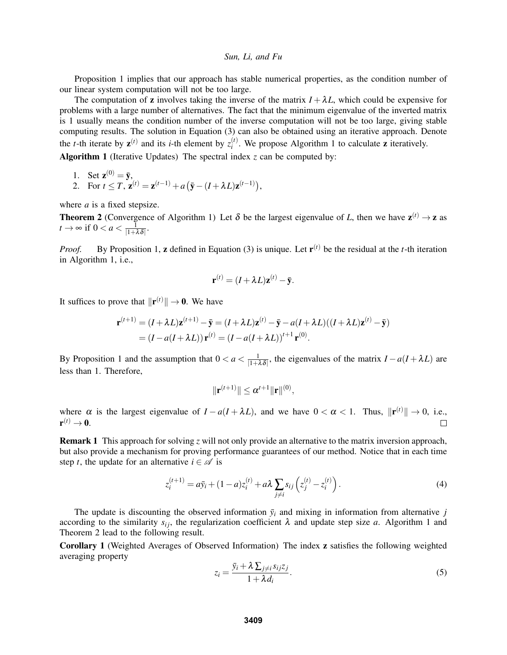Proposition [1](#page-4-2) implies that our approach has stable numerical properties, as the condition number of our linear system computation will not be too large.

The computation of **z** involves taking the inverse of the matrix  $I + \lambda L$ , which could be expensive for problems with a large number of alternatives. The fact that the minimum eigenvalue of the inverted matrix is 1 usually means the condition number of the inverse computation will not be too large, giving stable computing results. The solution in Equation [\(3\)](#page-4-3) can also be obtained using an iterative approach. Denote the *t*-th iterate by  $z^{(t)}$  and its *i*-th element by  $z_i^{(t)}$  $i^{\left(i\right)}$ . We propose Algorithm [1](#page-5-0) to calculate **z** iteratively. Algorithm 1 (Iterative Updates) The spectral index *z* can be computed by:

1. Set 
$$
\mathbf{z}^{(0)} = \bar{\mathbf{y}},
$$

<span id="page-5-0"></span>2. For 
$$
t \leq T
$$
,  $\mathbf{z}^{(t)} = \mathbf{z}^{(t-1)} + a(\bar{\mathbf{y}} - (I + \lambda L)\mathbf{z}^{(t-1)}),$ 

where *a* is a fixed stepsize.

<span id="page-5-1"></span>**Theorem 2** (Convergence of Algorithm [1\)](#page-5-0) Let  $\delta$  be the largest eigenvalue of *L*, then we have  $z^{(t)} \to z$  as  $t \to \infty$  if  $0 < a < \frac{1}{|1+\lambda \delta|}$ .

*Proof.* By Proposition [1,](#page-4-2) **z** defined in Equation [\(3\)](#page-4-3) is unique. Let  $\mathbf{r}^{(t)}$  be the residual at the *t*-th iteration in Algorithm [1,](#page-5-0) i.e.,

$$
\mathbf{r}^{(t)} = (I + \lambda L)\mathbf{z}^{(t)} - \mathbf{\bar{y}}.
$$

It suffices to prove that  $\|\mathbf{r}^{(t)}\| \to \mathbf{0}$ . We have

$$
\mathbf{r}^{(t+1)} = (I + \lambda L)\mathbf{z}^{(t+1)} - \bar{\mathbf{y}} = (I + \lambda L)\mathbf{z}^{(t)} - \bar{\mathbf{y}} - a(I + \lambda L)((I + \lambda L)\mathbf{z}^{(t)} - \bar{\mathbf{y}})
$$
  
=  $(I - a(I + \lambda L))\mathbf{r}^{(t)} = (I - a(I + \lambda L))^{t+1}\mathbf{r}^{(0)}.$ 

By Proposition [1](#page-4-2) and the assumption that  $0 < a < \frac{1}{|1+\lambda \delta|}$ , the eigenvalues of the matrix  $I - a(I + \lambda L)$  are less than 1. Therefore,

$$
\|\mathbf{r}^{(t+1)}\| \leq \alpha^{t+1} \|\mathbf{r}\|^{(0)},
$$

where  $\alpha$  is the largest eigenvalue of  $I - a(I + \lambda L)$ , and we have  $0 < \alpha < 1$ . Thus,  $\|\mathbf{r}^{(t)}\| \to 0$ , i.e.,  $\mathbf{r}^{(t)} \to \mathbf{0}.$  $\Box$ 

Remark 1 This approach for solving *z* will not only provide an alternative to the matrix inversion approach, but also provide a mechanism for proving performance guarantees of our method. Notice that in each time step *t*, the update for an alternative  $i \in \mathcal{A}$  is

<span id="page-5-2"></span>
$$
z_i^{(t+1)} = a\bar{y}_i + (1-a)z_i^{(t)} + a\lambda \sum_{j \neq i} s_{ij} \left( z_j^{(t)} - z_i^{(t)} \right).
$$
 (4)

The update is discounting the observed information  $\bar{y}_i$  and mixing in information from alternative *j* according to the similarity  $s_{ij}$ , the regularization coefficient  $\lambda$  and update step size *a*. Algorithm [1](#page-5-0) and Theorem [2](#page-5-1) lead to the following result.

<span id="page-5-4"></span>Corollary 1 (Weighted Averages of Observed Information) The index z satisfies the following weighted averaging property

<span id="page-5-3"></span>
$$
z_i = \frac{\bar{y}_i + \lambda \sum_{j \neq i} s_{ij} z_j}{1 + \lambda d_i}.
$$
\n<sup>(5)</sup>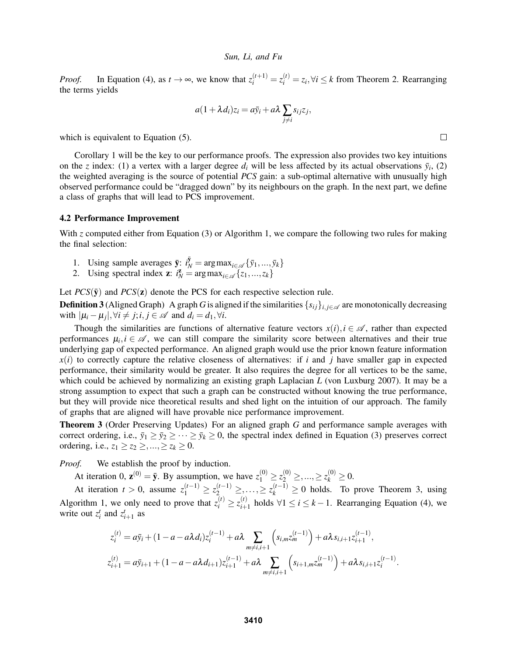*Proof.* In Equation [\(4\)](#page-5-2), as  $t \to \infty$ , we know that  $z_i^{(t+1)} = z_i^{(t)} = z_i, \forall i \leq k$  from Theorem [2.](#page-5-1) Rearranging the terms yields

$$
a(1+\lambda d_i)z_i=a\overline{y}_i+a\lambda\sum_{j\neq i}s_{ij}z_j,
$$

which is equivalent to Equation  $(5)$ .

Corollary [1](#page-5-4) will be the key to our performance proofs. The expression also provides two key intuitions on the *z* index: (1) a vertex with a larger degree  $d_i$  will be less affected by its actual observations  $\bar{y}_i$ , (2) the weighted averaging is the source of potential *PCS* gain: a sub-optimal alternative with unusually high observed performance could be "dragged down" by its neighbours on the graph. In the next part, we define a class of graphs that will lead to PCS improvement.

### 4.2 Performance Improvement

With *z* computed either from Equation [\(3\)](#page-4-3) or Algorithm [1,](#page-5-0) we compare the following two rules for making the final selection:

- 1. Using sample averages  $\bar{\mathbf{y}}$ :  $i_N^{\bar{\mathbf{y}}} = \arg \max_{i \in \mathcal{A}} {\{\bar{y}_1, ..., \bar{y}_k\}}$
- 2. Using spectral index **z**:  $i_N^{\mathbf{z}} = \arg \max_{i \in \mathcal{A}} \{z_1, ..., z_k\}$

Let  $PCS(\bar{y})$  and  $PCS(z)$  denote the PCS for each respective selection rule.

<span id="page-6-1"></span>**Definition 3** (Aligned Graph) A graph *G* is aligned if the similarities  $\{s_{ij}\}_{i,j\in\mathcal{A}}$  are monotonically decreasing  $\text{with } | \mu_i - \mu_j |, \forall i \neq j; i, j \in \mathcal{A} \text{ and } d_i = d_1, \forall i.$ 

Though the similarities are functions of alternative feature vectors  $x(i)$ ,  $i \in \mathcal{A}$ , rather than expected performances  $\mu_i, i \in \mathcal{A}$ , we can still compare the similarity score between alternatives and their true underlying gap of expected performance. An aligned graph would use the prior known feature information  $x(i)$  to correctly capture the relative closeness of alternatives: if *i* and *j* have smaller gap in expected performance, their similarity would be greater. It also requires the degree for all vertices to be the same, which could be achieved by normalizing an existing graph Laplacian *L* [\(von Luxburg 2007\)](#page-11-13). It may be a strong assumption to expect that such a graph can be constructed without knowing the true performance, but they will provide nice theoretical results and shed light on the intuition of our approach. The family of graphs that are aligned will have provable nice performance improvement.

<span id="page-6-0"></span>Theorem 3 (Order Preserving Updates) For an aligned graph *G* and performance sample averages with correct ordering, i.e.,  $\bar{y}_1 \ge \bar{y}_2 \ge \cdots \ge \bar{y}_k \ge 0$ , the spectral index defined in Equation [\(3\)](#page-4-3) preserves correct ordering, i.e.,  $z_1 \ge z_2 \ge ...,\ge z_k \ge 0$ .

*Proof.* We establish the proof by induction.

At iteration 0,  $\mathbf{z}^{(0)} = \bar{\mathbf{y}}$ . By assumption, we have  $z_1^{(0)} \ge z_2^{(0)} \ge ...,\ge z_k^{(0)} \ge 0$ .

At iteration  $t > 0$ , assume  $z_1^{(t-1)} \ge z_2^{(t-1)} \ge \ldots \ge z_k^{(t-1)} \ge 0$  holds. To prove Theorem [3,](#page-6-0) using Algorithm [1,](#page-5-0) we only need to prove that  $z_i^{(t)} \ge z_{i+1}^{(t)}$  $i^{(t)}_{i+1}$  holds ∀1 ≤ *i* ≤ *k* − 1. Rearranging Equation [\(4\)](#page-5-2), we write out  $z_i^t$  and  $z_{i+1}^t$  as

$$
z_i^{(t)} = a\bar{y}_i + (1 - a - a\lambda d_i)z_i^{(t-1)} + a\lambda \sum_{m \neq i, i+1} \left(s_{i,m}z_m^{(t-1)}\right) + a\lambda s_{i,i+1}z_{i+1}^{(t-1)},
$$
  

$$
z_{i+1}^{(t)} = a\bar{y}_{i+1} + (1 - a - a\lambda d_{i+1})z_{i+1}^{(t-1)} + a\lambda \sum_{m \neq i, i+1} \left(s_{i+1,m}z_m^{(t-1)}\right) + a\lambda s_{i,i+1}z_i^{(t-1)}.
$$

 $\Box$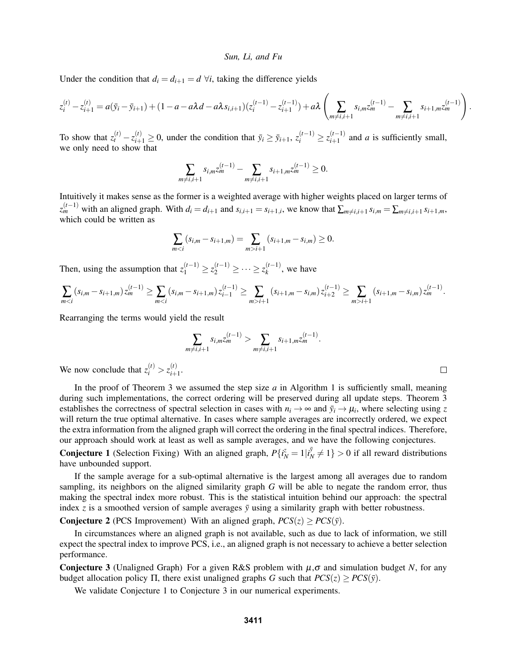Under the condition that  $d_i = d_{i+1} = d \forall i$ , taking the difference yields

$$
z_i^{(t)} - z_{i+1}^{(t)} = a(\bar{y}_i - \bar{y}_{i+1}) + (1 - a - a\lambda d - a\lambda s_{i,i+1})(z_i^{(t-1)} - z_{i+1}^{(t-1)}) + a\lambda \left(\sum_{m \neq i, i+1} s_{i,m} z_m^{(t-1)} - \sum_{m \neq i, i+1} s_{i+1,m} z_m^{(t-1)}\right)
$$

To show that  $z_t^{(t)} - z_{i+1}^{(t)} \ge 0$ , under the condition that  $\bar{y}_i \ge \bar{y}_{i+1}, z_i^{(t-1)} \ge z_{i+1}^{(t-1)}$  $a_{i+1}^{(l-1)}$  and *a* is sufficiently small, we only need to show that

$$
\sum_{m \neq i, i+1} s_{i,m} z_m^{(t-1)} - \sum_{m \neq i, i+1} s_{i+1,m} z_m^{(t-1)} \ge 0.
$$

Intuitively it makes sense as the former is a weighted average with higher weights placed on larger terms of  $z_m^{(t-1)}$  with an aligned graph. With  $d_i = d_{i+1}$  and  $s_{i,i+1} = s_{i+1,i}$ , we know that  $\sum_{m \neq i, i+1} s_{i,m} = \sum_{m \neq i, i+1} s_{i+1,m}$ , which could be written as

$$
\sum_{mi+1} (s_{i+1,m} - s_{i,m}) \ge 0.
$$

Then, using the assumption that  $z_1^{(t-1)} \ge z_2^{(t-1)} \ge \cdots \ge z_k^{(t-1)}$  $\binom{n-1}{k}$ , we have

$$
\sum_{m < i} (s_{i,m} - s_{i+1,m}) z_m^{(t-1)} \ge \sum_{m < i} (s_{i,m} - s_{i+1,m}) z_{i-1}^{(t-1)} \ge \sum_{m > i+1} (s_{i+1,m} - s_{i,m}) z_{i+2}^{(t-1)} \ge \sum_{m > i+1} (s_{i+1,m} - s_{i,m}) z_m^{(t-1)}.
$$

Rearranging the terms would yield the result

$$
\sum_{m \neq i, i+1} s_{i,m} z_m^{(t-1)} > \sum_{m \neq i, i+1} s_{i+1,m} z_m^{(t-1)}.
$$

.

 $\Box$ 

We now conclude that  $z_i^{(t)} > z_{i+1}^{(t)}$  $\frac{(i)}{i+1}$ .

In the proof of Theorem [3](#page-6-0) we assumed the step size *a* in Algorithm [1](#page-5-0) is sufficiently small, meaning during such implementations, the correct ordering will be preserved during all update steps. Theorem [3](#page-6-0) establishes the correctness of spectral selection in cases with  $n_i \to \infty$  and  $\bar{y}_i \to \mu_i$ , where selecting using *z* will return the true optimal alternative. In cases where sample averages are incorrectly ordered, we expect the extra information from the aligned graph will correct the ordering in the final spectral indices. Therefore, our approach should work at least as well as sample averages, and we have the following conjectures.

<span id="page-7-0"></span>**Conjecture 1** (Selection Fixing) With an aligned graph,  $P\{\tilde{i}_N^z = 1 | i_N^{\tilde{y}}\}$  $\binom{y}{N} \neq 1$  > 0 if all reward distributions have unbounded support.

If the sample average for a sub-optimal alternative is the largest among all averages due to random sampling, its neighbors on the aligned similarity graph *G* will be able to negate the random error, thus making the spectral index more robust. This is the statistical intuition behind our approach: the spectral index *z* is a smoothed version of sample averages  $\bar{y}$  using a similarity graph with better robustness.

**Conjecture 2** (PCS Improvement) With an aligned graph,  $PCS(z) \geq PCS(\bar{y})$ .

In circumstances where an aligned graph is not available, such as due to lack of information, we still expect the spectral index to improve PCS, i.e., an aligned graph is not necessary to achieve a better selection performance.

<span id="page-7-1"></span>**Conjecture 3** (Unaligned Graph) For a given R&S problem with  $\mu$ ,  $\sigma$  and simulation budget *N*, for any budget allocation policy Π, there exist unaligned graphs *G* such that  $PCS(z) \geq PCS(\bar{y})$ .

We validate Conjecture [1](#page-7-0) to Conjecture [3](#page-7-1) in our numerical experiments.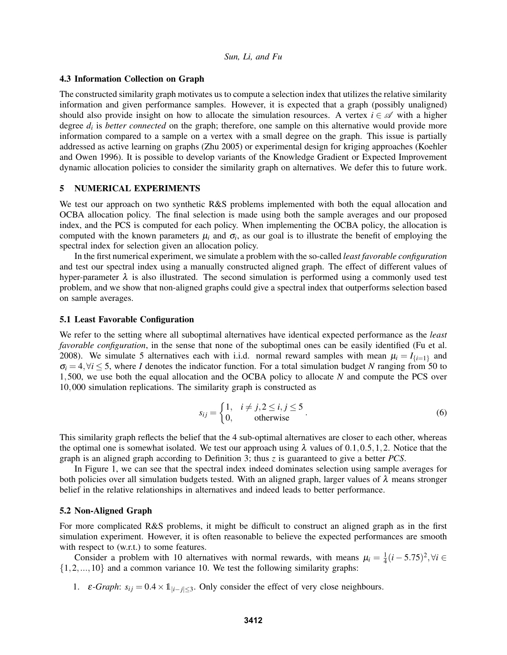### 4.3 Information Collection on Graph

The constructed similarity graph motivates us to compute a selection index that utilizes the relative similarity information and given performance samples. However, it is expected that a graph (possibly unaligned) should also provide insight on how to allocate the simulation resources. A vertex  $i \in \mathcal{A}$  with a higher degree  $d_i$  is *better connected* on the graph; therefore, one sample on this alternative would provide more information compared to a sample on a vertex with a small degree on the graph. This issue is partially addressed as active learning on graphs [\(Zhu 2005\)](#page-11-12) or experimental design for kriging approaches [\(Koehler](#page-11-5) [and Owen 1996\)](#page-11-5). It is possible to develop variants of the Knowledge Gradient or Expected Improvement dynamic allocation policies to consider the similarity graph on alternatives. We defer this to future work.

# <span id="page-8-0"></span>5 NUMERICAL EXPERIMENTS

We test our approach on two synthetic R&S problems implemented with both the equal allocation and OCBA allocation policy. The final selection is made using both the sample averages and our proposed index, and the PCS is computed for each policy. When implementing the OCBA policy, the allocation is computed with the known parameters  $\mu_i$  and  $\sigma_i$ , as our goal is to illustrate the benefit of employing the spectral index for selection given an allocation policy.

In the first numerical experiment, we simulate a problem with the so-called *least favorable configuration* and test our spectral index using a manually constructed aligned graph. The effect of different values of hyper-parameter  $\lambda$  is also illustrated. The second simulation is performed using a commonly used test problem, and we show that non-aligned graphs could give a spectral index that outperforms selection based on sample averages.

### 5.1 Least Favorable Configuration

We refer to the setting where all suboptimal alternatives have identical expected performance as the *least favorable configuration*, in the sense that none of the suboptimal ones can be easily identified [\(Fu et al.](#page-11-0) [2008\)](#page-11-0). We simulate 5 alternatives each with i.i.d. normal reward samples with mean  $\mu_i = I_{\{i=1\}}$  and  $\sigma_i = 4, \forall i \leq 5$ , where *I* denotes the indicator function. For a total simulation budget *N* ranging from 50 to 1,500, we use both the equal allocation and the OCBA policy to allocate *N* and compute the PCS over 10,000 simulation replications. The similarity graph is constructed as

$$
s_{ij} = \begin{cases} 1, & i \neq j, 2 \le i, j \le 5 \\ 0, & \text{otherwise} \end{cases} \tag{6}
$$

This similarity graph reflects the belief that the 4 sub-optimal alternatives are closer to each other, whereas the optimal one is somewhat isolated. We test our approach using  $\lambda$  values of 0.1,0.5,1,2. Notice that the graph is an aligned graph according to Definition [3;](#page-6-1) thus *z* is guaranteed to give a better *PCS*.

In Figure [1,](#page-9-0) we can see that the spectral index indeed dominates selection using sample averages for both policies over all simulation budgets tested. With an aligned graph, larger values of  $\lambda$  means stronger belief in the relative relationships in alternatives and indeed leads to better performance.

#### 5.2 Non-Aligned Graph

For more complicated R&S problems, it might be difficult to construct an aligned graph as in the first simulation experiment. However, it is often reasonable to believe the expected performances are smooth with respect to (w.r.t.) to some features.

Consider a problem with 10 alternatives with normal rewards, with means  $\mu_i = \frac{1}{4}$  $\frac{1}{4}$ (*i* − 5.75)<sup>2</sup>,  $\forall i \in$  $\{1, 2, \ldots, 10\}$  and a common variance 10. We test the following similarity graphs:

1.  $\varepsilon$ -*Graph*:  $s_{ij} = 0.4 \times \mathbb{1}_{|i-j| \leq 3}$ . Only consider the effect of very close neighbours.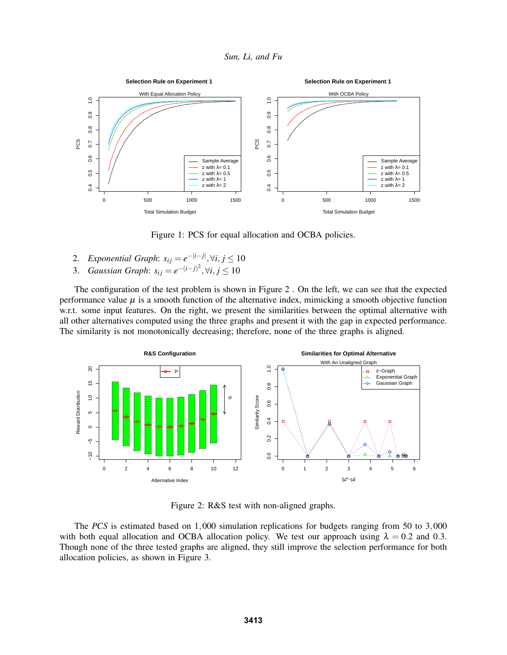*Sun, Li, and Fu*



<span id="page-9-0"></span>Figure 1: PCS for equal allocation and OCBA policies.

- 2. *Exponential Graph:*  $s_{ij} = e^{-|i-j|}, \forall i, j \leq 10$
- 3. *Gaussian Graph:*  $s_{ij} = e^{-(i-j)^2}, \forall i, j \leq 10$

The configuration of the test problem is shown in Figure [2](#page-9-1) . On the left, we can see that the expected performance value  $\mu$  is a smooth function of the alternative index, mimicking a smooth objective function w.r.t. some input features. On the right, we present the similarities between the optimal alternative with all other alternatives computed using the three graphs and present it with the gap in expected performance. The similarity is not monotonically decreasing; therefore, none of the three graphs is aligned.



<span id="page-9-1"></span>Figure 2: R&S test with non-aligned graphs.

The *PCS* is estimated based on 1,000 simulation replications for budgets ranging from 50 to 3,000 with both equal allocation and OCBA allocation policy. We test our approach using  $\lambda = 0.2$  and 0.3. Though none of the three tested graphs are aligned, they still improve the selection performance for both allocation policies, as shown in Figure [3.](#page-10-9)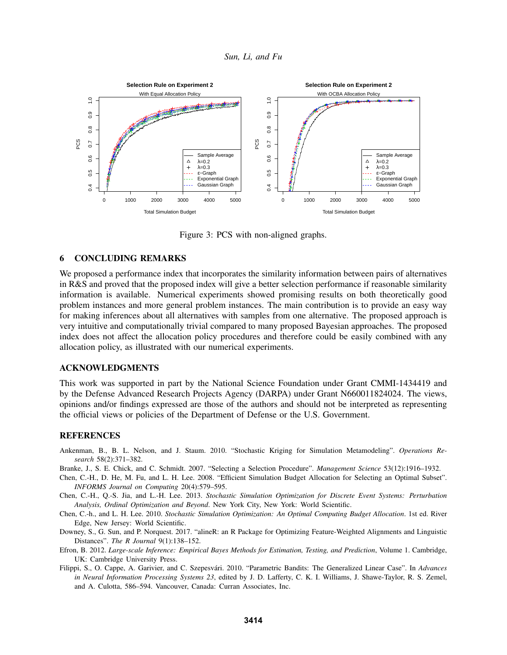

<span id="page-10-9"></span>Figure 3: PCS with non-aligned graphs.

### <span id="page-10-5"></span>6 CONCLUDING REMARKS

We proposed a performance index that incorporates the similarity information between pairs of alternatives in R&S and proved that the proposed index will give a better selection performance if reasonable similarity information is available. Numerical experiments showed promising results on both theoretically good problem instances and more general problem instances. The main contribution is to provide an easy way for making inferences about all alternatives with samples from one alternative. The proposed approach is very intuitive and computationally trivial compared to many proposed Bayesian approaches. The proposed index does not affect the allocation policy procedures and therefore could be easily combined with any allocation policy, as illustrated with our numerical experiments.

# ACKNOWLEDGMENTS

This work was supported in part by the National Science Foundation under Grant CMMI-1434419 and by the Defense Advanced Research Projects Agency (DARPA) under Grant N660011824024. The views, opinions and/or findings expressed are those of the authors and should not be interpreted as representing the official views or policies of the Department of Defense or the U.S. Government.

### **REFERENCES**

- <span id="page-10-4"></span>Ankenman, B., B. L. Nelson, and J. Staum. 2010. "Stochastic Kriging for Simulation Metamodeling". *Operations Research* 58(2):371–382.
- <span id="page-10-2"></span>Branke, J., S. E. Chick, and C. Schmidt. 2007. "Selecting a Selection Procedure". *Management Science* 53(12):1916–1932.
- <span id="page-10-1"></span>Chen, C.-H., D. He, M. Fu, and L. H. Lee. 2008. "Efficient Simulation Budget Allocation for Selecting an Optimal Subset". *INFORMS Journal on Computing* 20(4):579–595.
- <span id="page-10-8"></span>Chen, C.-H., Q.-S. Jia, and L.-H. Lee. 2013. *Stochastic Simulation Optimization for Discrete Event Systems: Perturbation Analysis, Ordinal Optimization and Beyond*. New York City, New York: World Scientific.
- <span id="page-10-0"></span>Chen, C.-h., and L. H. Lee. 2010. *Stochastic Simulation Optimization: An Optimal Computing Budget Allocation*. 1st ed. River Edge, New Jersey: World Scientific.
- <span id="page-10-6"></span>Downey, S., G. Sun, and P. Norquest. 2017. "alineR: an R Package for Optimizing Feature-Weighted Alignments and Linguistic Distances". *The R Journal* 9(1):138–152.
- <span id="page-10-7"></span>Efron, B. 2012. *Large-scale Inference: Empirical Bayes Methods for Estimation, Testing, and Prediction*, Volume 1. Cambridge, UK: Cambridge University Press.
- <span id="page-10-3"></span>Filippi, S., O. Cappe, A. Garivier, and C. Szepesvári. 2010. "Parametric Bandits: The Generalized Linear Case". In *Advances in Neural Information Processing Systems 23*, edited by J. D. Lafferty, C. K. I. Williams, J. Shawe-Taylor, R. S. Zemel, and A. Culotta, 586–594. Vancouver, Canada: Curran Associates, Inc.